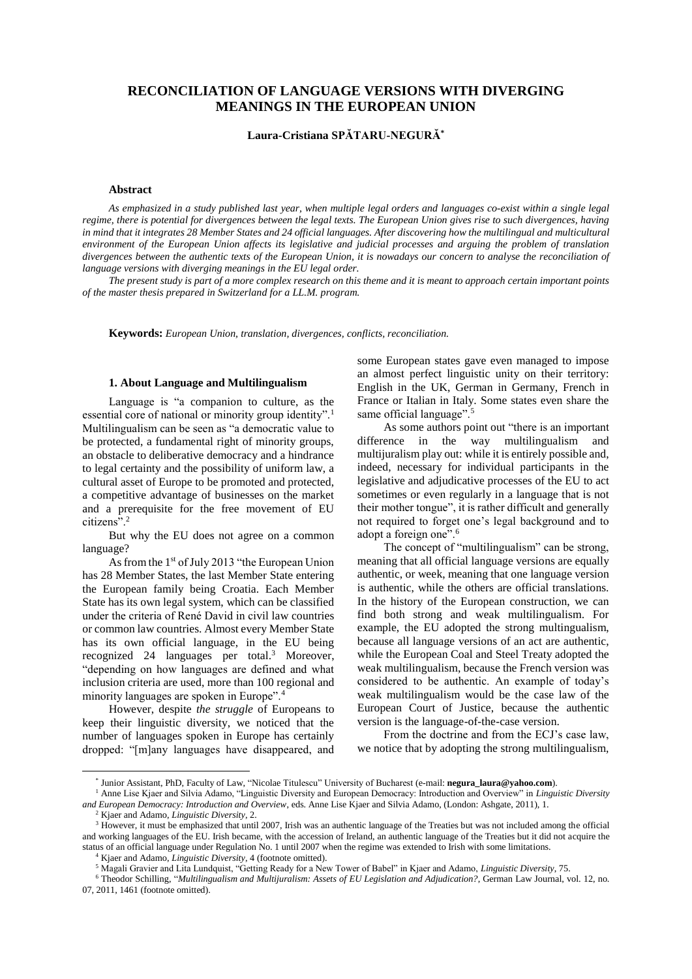# **RECONCILIATION OF LANGUAGE VERSIONS WITH DIVERGING MEANINGS IN THE EUROPEAN UNION**

# **Laura-Cristiana SPĂTARU-NEGURĂ\***

### **Abstract**

*As emphasized in a study published last year, when multiple legal orders and languages co-exist within a single legal regime, there is potential for divergences between the legal texts. The European Union gives rise to such divergences, having* in mind that it integrates 28 Member States and 24 official languages. After discovering how the multilingual and multicultural *environment of the European Union affects its legislative and judicial processes and arguing the problem of translation divergences between the authentic texts of the European Union, it is nowadays our concern to analyse the reconciliation of language versions with diverging meanings in the EU legal order.*

*The present study is part of a more complex research on this theme and it is meant to approach certain important points of the master thesis prepared in Switzerland for a LL.M. program.*

**Keywords:** *European Union, translation, divergences, conflicts, reconciliation.*

#### **1. About Language and Multilingualism\***

Language is "a companion to culture, as the essential core of national or minority group identity".<sup>1</sup> Multilingualism can be seen as "a democratic value to be protected, a fundamental right of minority groups, an obstacle to deliberative democracy and a hindrance to legal certainty and the possibility of uniform law, a cultural asset of Europe to be promoted and protected, a competitive advantage of businesses on the market and a prerequisite for the free movement of EU citizens".<sup>2</sup>

But why the EU does not agree on a common language?

As from the 1<sup>st</sup> of July 2013 "the European Union has 28 Member States, the last Member State entering the European family being Croatia. Each Member State has its own legal system, which can be classified under the criteria of René David in civil law countries or common law countries. Almost every Member State has its own official language, in the EU being recognized 24 languages per total.<sup>3</sup> Moreover, "depending on how languages are defined and what inclusion criteria are used, more than 100 regional and minority languages are spoken in Europe".<sup>4</sup>

However, despite *the struggle* of Europeans to keep their linguistic diversity, we noticed that the number of languages spoken in Europe has certainly dropped: "[m]any languages have disappeared, and some European states gave even managed to impose an almost perfect linguistic unity on their territory: English in the UK, German in Germany, French in France or Italian in Italy. Some states even share the same official language".<sup>5</sup>

As some authors point out "there is an important difference in the way multilingualism and multijuralism play out: while it is entirely possible and, indeed, necessary for individual participants in the legislative and adjudicative processes of the EU to act sometimes or even regularly in a language that is not their mother tongue", it is rather difficult and generally not required to forget one's legal background and to adopt a foreign one".<sup>6</sup>

The concept of "multilingualism" can be strong, meaning that all official language versions are equally authentic, or week, meaning that one language version is authentic, while the others are official translations. In the history of the European construction, we can find both strong and weak multilingualism. For example, the EU adopted the strong multingualism, because all language versions of an act are authentic, while the European Coal and Steel Treaty adopted the weak multilingualism, because the French version was considered to be authentic. An example of today's weak multilingualism would be the case law of the European Court of Justice, because the authentic version is the language-of-the-case version.

From the doctrine and from the ECJ's case law, we notice that by adopting the strong multilingualism,

 $\overline{a}$ 

<sup>\*</sup> Junior Assistant, PhD, Faculty of Law, "Nicolae Titulescu" University of Bucharest (e-mail: **negura\_laura@yahoo.com**).

<sup>1</sup> Anne Lise Kjaer and Silvia Adamo, "Linguistic Diversity and European Democracy: Introduction and Overview" in *Linguistic Diversity and European Democracy: Introduction and Overview*, eds. Anne Lise Kjaer and Silvia Adamo, (London: Ashgate, 2011), 1.

<sup>2</sup> Kjaer and Adamo, *Linguistic Diversity*, 2.

<sup>&</sup>lt;sup>3</sup> However, it must be emphasized that until 2007, Irish was an authentic language of the Treaties but was not included among the official and working languages of the EU. Irish became, with the accession of Ireland, an authentic language of the Treaties but it did not acquire the status of an official language under Regulation No. 1 until 2007 when the regime was extended to Irish with some limitations.

<sup>4</sup> Kjaer and Adamo, *Linguistic Diversity*, 4 (footnote omitted).

<sup>5</sup> Magali Gravier and Lita Lundquist, "Getting Ready for a New Tower of Babel" in Kjaer and Adamo, *Linguistic Diversity*, 75.

<sup>6</sup> Theodor Schilling, "*Multilingualism and Multijuralism: Assets of EU Legislation and Adjudication?*, German Law Journal, vol. 12, no. 07, 2011, 1461 (footnote omitted).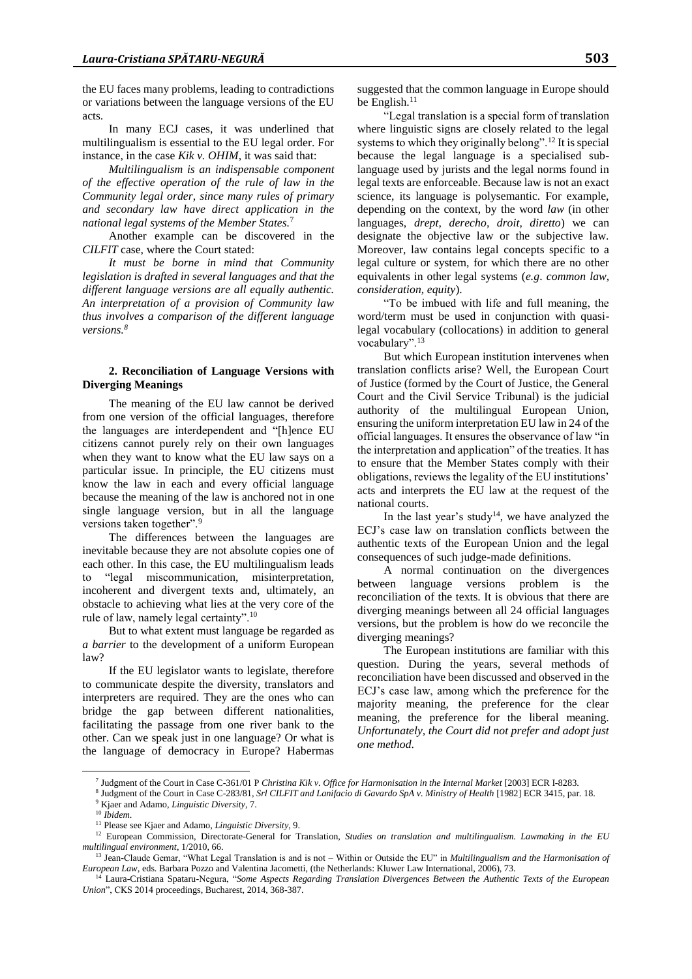the EU faces many problems, leading to contradictions or variations between the language versions of the EU acts.

In many ECJ cases, it was underlined that multilingualism is essential to the EU legal order. For instance, in the case *Kik v. OHIM*, it was said that:

*Multilingualism is an indispensable component of the effective operation of the rule of law in the Community legal order, since many rules of primary and secondary law have direct application in the national legal systems of the Member States.*<sup>7</sup>

Another example can be discovered in the *CILFIT* case, where the Court stated:

*It must be borne in mind that Community legislation is drafted in several languages and that the different language versions are all equally authentic. An interpretation of a provision of Community law thus involves a comparison of the different language versions.<sup>8</sup>*

# **2. Reconciliation of Language Versions with Diverging Meanings**

The meaning of the EU law cannot be derived from one version of the official languages, therefore the languages are interdependent and "[h]ence EU citizens cannot purely rely on their own languages when they want to know what the EU law says on a particular issue. In principle, the EU citizens must know the law in each and every official language because the meaning of the law is anchored not in one single language version, but in all the language versions taken together".<sup>9</sup>

The differences between the languages are inevitable because they are not absolute copies one of each other. In this case, the EU multilingualism leads to "legal miscommunication, misinterpretation, incoherent and divergent texts and, ultimately, an obstacle to achieving what lies at the very core of the rule of law, namely legal certainty".<sup>10</sup>

But to what extent must language be regarded as *a barrier* to the development of a uniform European law?

If the EU legislator wants to legislate, therefore to communicate despite the diversity, translators and interpreters are required. They are the ones who can bridge the gap between different nationalities, facilitating the passage from one river bank to the other. Can we speak just in one language? Or what is the language of democracy in Europe? Habermas

suggested that the common language in Europe should be English.<sup>11</sup>

"Legal translation is a special form of translation where linguistic signs are closely related to the legal systems to which they originally belong".<sup>12</sup> It is special because the legal language is a specialised sublanguage used by jurists and the legal norms found in legal texts are enforceable. Because law is not an exact science, its language is polysemantic. For example, depending on the context, by the word *law* (in other languages, *drept, derecho, droit, diretto*) we can designate the objective law or the subjective law. Moreover, law contains legal concepts specific to a legal culture or system, for which there are no other equivalents in other legal systems (*e.g*. *common law, consideration, equity*).

"To be imbued with life and full meaning, the word/term must be used in conjunction with quasilegal vocabulary (collocations) in addition to general vocabulary".<sup>13</sup>

But which European institution intervenes when translation conflicts arise? Well, the European Court of Justice (formed by the Court of Justice, the General Court and the Civil Service Tribunal) is the judicial authority of the multilingual European Union, ensuring the uniform interpretation EU law in 24 of the official languages. It ensures the observance of law "in the interpretation and application" of the treaties. It has to ensure that the Member States comply with their obligations, reviews the legality of the EU institutions' acts and interprets the EU law at the request of the national courts.

In the last year's study<sup>14</sup>, we have analyzed the ECJ's case law on translation conflicts between the authentic texts of the European Union and the legal consequences of such judge-made definitions.

A normal continuation on the divergences between language versions problem is the reconciliation of the texts. It is obvious that there are diverging meanings between all 24 official languages versions, but the problem is how do we reconcile the diverging meanings?

The European institutions are familiar with this question. During the years, several methods of reconciliation have been discussed and observed in the ECJ's case law, among which the preference for the majority meaning, the preference for the clear meaning, the preference for the liberal meaning. *Unfortunately, the Court did not prefer and adopt just one method*.

<sup>8</sup> Judgment of the Court in Case C-283/81, *Srl CILFIT and Lanifacio di Gavardo SpA v. Ministry of Health* [1982] ECR 3415, par. 18. <sup>9</sup> Kjaer and Adamo, *Linguistic Diversity*, 7.

 $\overline{a}$ 

<sup>7</sup> Judgment of the Court in Case C-361/01 P *Christina Kik v. Office for Harmonisation in the Internal Market* [2003] ECR I-8283.

<sup>10</sup> *Ibidem*.

<sup>11</sup> Please see Kjaer and Adamo, *Linguistic Diversity*, 9.

<sup>&</sup>lt;sup>12</sup> European Commission, Directorate-General for Translation, *Studies on translation and multilingualism. Lawmaking in the EU multilingual environment*, 1/2010, 66.

<sup>13</sup> Jean-Claude Gemar, "What Legal Translation is and is not – Within or Outside the EU" in *Multilingualism and the Harmonisation of European Law*, eds. Barbara Pozzo and Valentina Jacometti, (the Netherlands: Kluwer Law International, 2006), 73.<br><sup>14</sup> Laura-Cristiana Spataru Nacura, "Cause Arriver Person", The Communicational, 2006), 73.

<sup>14</sup> Laura-Cristiana Spataru-Negura, "*Some Aspects Regarding Translation Divergences Between the Authentic Texts of the European Union*", CKS 2014 proceedings, Bucharest, 2014, 368-387.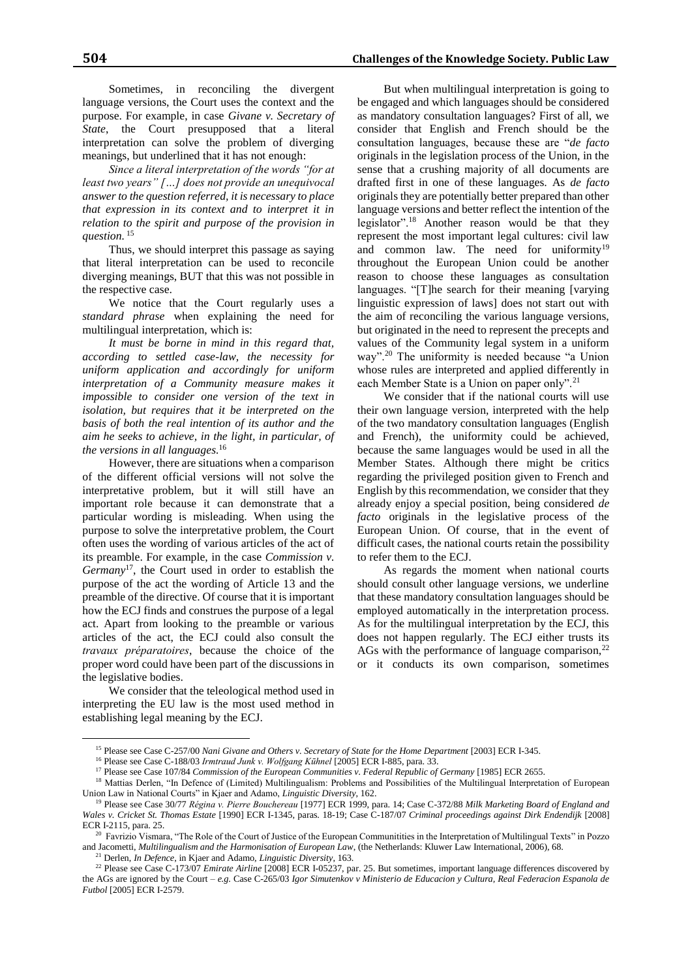Sometimes, in reconciling the divergent language versions, the Court uses the context and the purpose. For example, in case *Givane v. Secretary of State*, the Court presupposed that a literal interpretation can solve the problem of diverging meanings, but underlined that it has not enough:

*Since a literal interpretation of the words "for at least two years" […] does not provide an unequivocal answer to the question referred, it is necessary to place that expression in its context and to interpret it in relation to the spirit and purpose of the provision in question.* <sup>15</sup>

Thus, we should interpret this passage as saying that literal interpretation can be used to reconcile diverging meanings, BUT that this was not possible in the respective case.

We notice that the Court regularly uses a *standard phrase* when explaining the need for multilingual interpretation, which is:

*It must be borne in mind in this regard that, according to settled case-law, the necessity for uniform application and accordingly for uniform interpretation of a Community measure makes it impossible to consider one version of the text in isolation, but requires that it be interpreted on the basis of both the real intention of its author and the aim he seeks to achieve, in the light, in particular, of the versions in all languages.* 16

However, there are situations when a comparison of the different official versions will not solve the interpretative problem, but it will still have an important role because it can demonstrate that a particular wording is misleading. When using the purpose to solve the interpretative problem, the Court often uses the wording of various articles of the act of its preamble. For example, in the case *Commission v. Germany*<sup>17</sup>, the Court used in order to establish the purpose of the act the wording of Article 13 and the preamble of the directive. Of course that it is important how the ECJ finds and construes the purpose of a legal act. Apart from looking to the preamble or various articles of the act, the ECJ could also consult the *travaux préparatoires*, because the choice of the proper word could have been part of the discussions in the legislative bodies.

We consider that the teleological method used in interpreting the EU law is the most used method in establishing legal meaning by the ECJ.

 $\overline{a}$ 

But when multilingual interpretation is going to be engaged and which languages should be considered as mandatory consultation languages? First of all, we consider that English and French should be the consultation languages, because these are "*de facto* originals in the legislation process of the Union, in the sense that a crushing majority of all documents are drafted first in one of these languages. As *de facto* originals they are potentially better prepared than other language versions and better reflect the intention of the legislator".<sup>18</sup> Another reason would be that they represent the most important legal cultures: civil law and common law. The need for uniformity<sup>19</sup> throughout the European Union could be another reason to choose these languages as consultation languages. "[T]he search for their meaning [varying linguistic expression of laws] does not start out with the aim of reconciling the various language versions, but originated in the need to represent the precepts and values of the Community legal system in a uniform way".<sup>20</sup> The uniformity is needed because "a Union whose rules are interpreted and applied differently in each Member State is a Union on paper only".<sup>21</sup>

We consider that if the national courts will use their own language version, interpreted with the help of the two mandatory consultation languages (English and French), the uniformity could be achieved, because the same languages would be used in all the Member States. Although there might be critics regarding the privileged position given to French and English by this recommendation, we consider that they already enjoy a special position, being considered *de facto* originals in the legislative process of the European Union. Of course, that in the event of difficult cases, the national courts retain the possibility to refer them to the ECJ.

As regards the moment when national courts should consult other language versions, we underline that these mandatory consultation languages should be employed automatically in the interpretation process. As for the multilingual interpretation by the ECJ, this does not happen regularly. The ECJ either trusts its AGs with the performance of language comparison,<sup>22</sup> or it conducts its own comparison, sometimes

<sup>15</sup> Please see Case C-257/00 *Nani Givane and Others v. Secretary of State for the Home Department* [2003] ECR I-345.

<sup>&</sup>lt;sup>16</sup> Please see Case C-188/03 Irmtraud Junk v. Wolfgang Kūhnel [2005] ECR I-885, para. 33.

<sup>&</sup>lt;sup>17</sup> Please see Case 107/84 *Commission of the European Communities v. Federal Republic of Germany* [1985] ECR 2655.

<sup>&</sup>lt;sup>18</sup> Mattias Derlen, "In Defence of (Limited) Multilingualism: Problems and Possibilities of the Multilingual Interpretation of European Union Law in National Courts" in Kjaer and Adamo, *Linguistic Diversity*, 162.

<sup>19</sup> Please see Case 30/77 *Régina v. Pierre Bouchereau* [1977] ECR 1999, para. 14; Case C-372/88 *Milk Marketing Board of England and Wales v. Cricket St. Thomas Estate* [1990] ECR I-1345, paras. 18-19; Case C-187/07 *Criminal proceedings against Dirk Endendijk* [2008] ECR I-2115, para. 25.

<sup>&</sup>lt;sup>20</sup> Favrizio Vismara, "The Role of the Court of Justice of the European Communitities in the Interpretation of Multilingual Texts" in Pozzo and Jacometti, *Multilingualism and the Harmonisation of European Law*, (the Netherlands: Kluwer Law International, 2006), 68.

<sup>21</sup> Derlen, *In Defence*, in Kjaer and Adamo, *Linguistic Diversity*, 163.

<sup>22</sup> Please see Case C-173/07 *Emirate Airline* [2008] ECR I-05237, par. 25. But sometimes, important language differences discovered by the AGs are ignored by the Court – *e.g.* Case C-265/03 *Igor Simutenkov v Ministerio de Educacion y Cultura, Real Federacion Espanola de Futbol* [2005] ECR I-2579.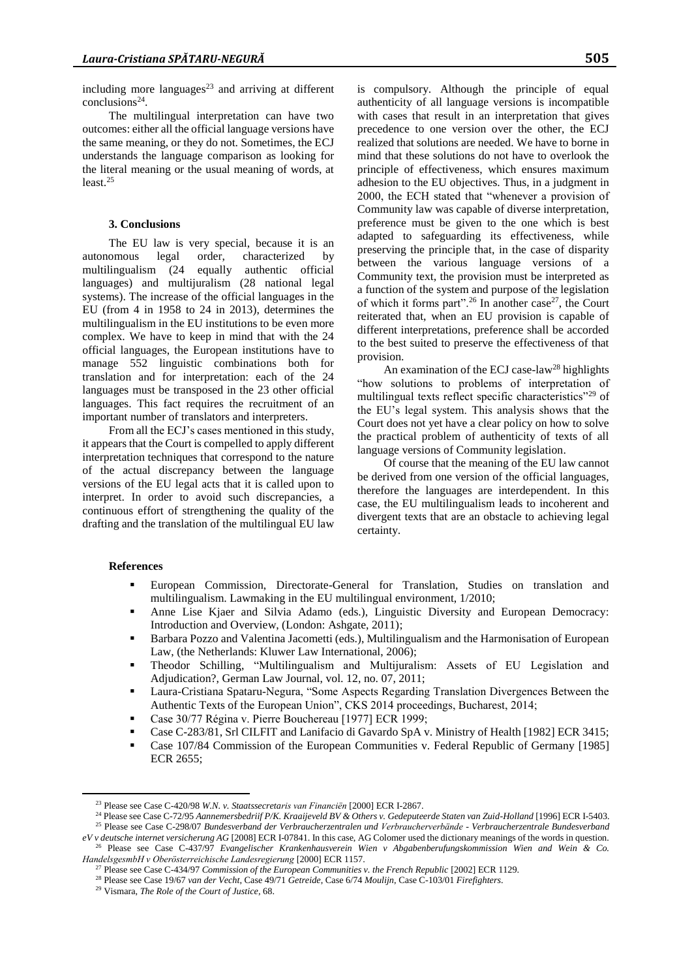including more languages $23$  and arriving at different  $conclusions<sup>24</sup>$ .

The multilingual interpretation can have two outcomes: either all the official language versions have the same meaning, or they do not. Sometimes, the ECJ understands the language comparison as looking for the literal meaning or the usual meaning of words, at least.<sup>25</sup>

# **3. Conclusions**

The EU law is very special, because it is an autonomous legal order, characterized by multilingualism (24 equally authentic official languages) and multijuralism (28 national legal systems). The increase of the official languages in the EU (from 4 in 1958 to 24 in 2013), determines the multilingualism in the EU institutions to be even more complex. We have to keep in mind that with the 24 official languages, the European institutions have to manage 552 linguistic combinations both for translation and for interpretation: each of the 24 languages must be transposed in the 23 other official languages. This fact requires the recruitment of an important number of translators and interpreters.

From all the ECJ's cases mentioned in this study, it appears that the Court is compelled to apply different interpretation techniques that correspond to the nature of the actual discrepancy between the language versions of the EU legal acts that it is called upon to interpret. In order to avoid such discrepancies, a continuous effort of strengthening the quality of the drafting and the translation of the multilingual EU law

is compulsory. Although the principle of equal authenticity of all language versions is incompatible with cases that result in an interpretation that gives precedence to one version over the other, the ECJ realized that solutions are needed. We have to borne in mind that these solutions do not have to overlook the principle of effectiveness, which ensures maximum adhesion to the EU objectives. Thus, in a judgment in 2000, the ECH stated that "whenever a provision of Community law was capable of diverse interpretation, preference must be given to the one which is best adapted to safeguarding its effectiveness, while preserving the principle that, in the case of disparity between the various language versions of a Community text, the provision must be interpreted as a function of the system and purpose of the legislation of which it forms part".<sup>26</sup> In another case<sup>27</sup>, the Court reiterated that, when an EU provision is capable of different interpretations, preference shall be accorded to the best suited to preserve the effectiveness of that provision.

An examination of the ECJ case-law<sup>28</sup> highlights "how solutions to problems of interpretation of multilingual texts reflect specific characteristics"<sup>29</sup> of the EU's legal system. This analysis shows that the Court does not yet have a clear policy on how to solve the practical problem of authenticity of texts of all language versions of Community legislation.

Of course that the meaning of the EU law cannot be derived from one version of the official languages, therefore the languages are interdependent. In this case, the EU multilingualism leads to incoherent and divergent texts that are an obstacle to achieving legal certainty.

# **References**

 $\overline{a}$ 

- European Commission, Directorate-General for Translation, Studies on translation and multilingualism. Lawmaking in the EU multilingual environment, 1/2010;
- Anne Lise Kjaer and Silvia Adamo (eds.), Linguistic Diversity and European Democracy: Introduction and Overview, (London: Ashgate, 2011);
- Barbara Pozzo and Valentina Jacometti (eds.), Multilingualism and the Harmonisation of European Law, (the Netherlands: Kluwer Law International, 2006);
- Theodor Schilling, "Multilingualism and Multijuralism: Assets of EU Legislation and Adjudication?, German Law Journal, vol. 12, no. 07, 2011;
- Laura-Cristiana Spataru-Negura, "Some Aspects Regarding Translation Divergences Between the Authentic Texts of the European Union", CKS 2014 proceedings, Bucharest, 2014;
- Case 30/77 Régina v. Pierre Bouchereau [1977] ECR 1999;
- Case C-283/81, Srl CILFIT and Lanifacio di Gavardo SpA v. Ministry of Health [1982] ECR 3415;
- Case 107/84 Commission of the European Communities v. Federal Republic of Germany [1985] ECR 2655;

<sup>23</sup> Please see Case C-420/98 *W.N. v. Staatssecretaris van Financiën* [2000] ECR I-2867.

<sup>24</sup> Please see Case C-72/95 *Aannemersbedriif P/K. Kraaijeveld BV & Others v. Gedeputeerde Staten van Zuid-Holland* [1996] ECR I-5403.

<sup>25</sup> Please see Case C-298/07 *Bundesverband der Verbraucherzentralen und Verbraucherverbände - Verbraucherzentrale Bundesverband* 

*eV v deutsche internet versicherung AG* [2008] ECR I-07841. In this case, AG Colomer used the dictionary meanings of the words in question. <sup>26</sup> Please see Case C-437/97 *Evangelischer Krankenhausverein Wien v Abgabenberufungskommission Wien and Wein & Co. HandelsgesmbH v Oberösterreichische Landesregierung* [2000] ECR 1157.

<sup>27</sup> Please see Case C-434/97 *Commission of the European Communities v. the French Republic* [2002] ECR 1129.

<sup>28</sup> Please see Case 19/67 *van der Vecht*, Case 49/71 *Getreide*, Case 6/74 *Moulijn*, Case C-103/01 *Firefighters*.

<sup>29</sup> Vismara, *The Role of the Court of Justice*, 68.